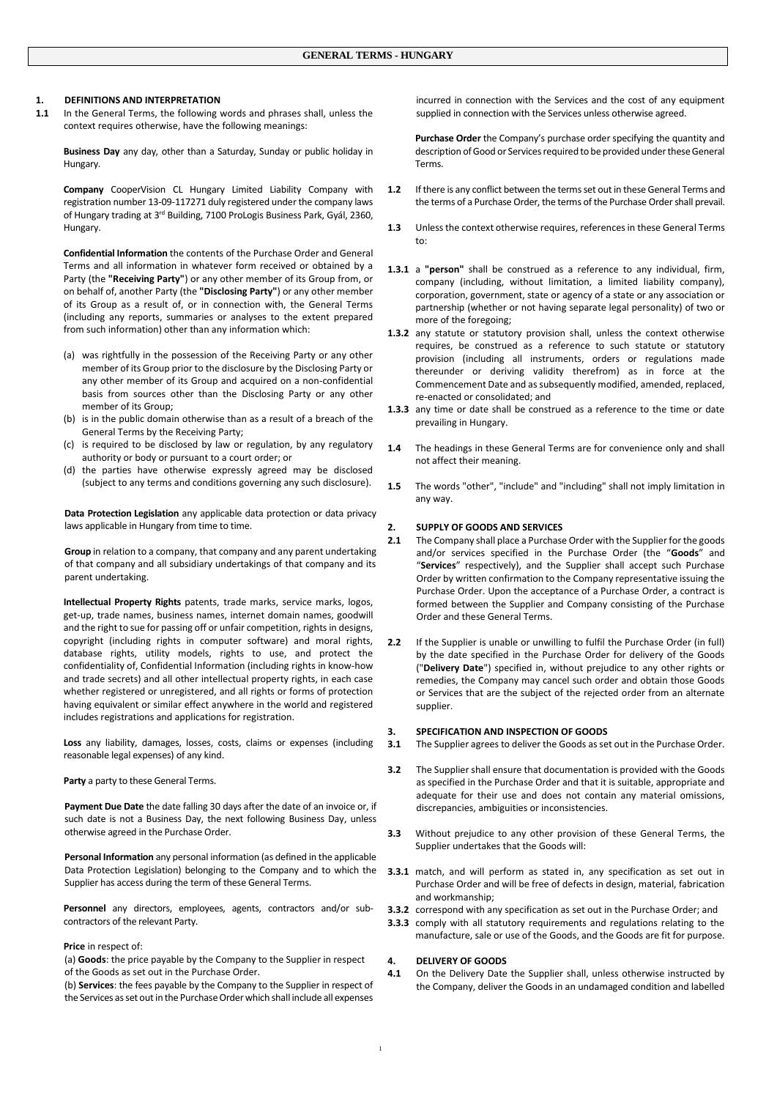# **1. DEFINITIONS AND INTERPRETATION**

**1.1** In the General Terms, the following words and phrases shall, unless the context requires otherwise, have the following meanings:

**Business Day** any day, other than a Saturday, Sunday or public holiday in Hungary.

**Company** CooperVision CL Hungary Limited Liability Company with registration number 13-09-117271 duly registered under the company laws of Hungary trading at 3<sup>rd</sup> Building, 7100 ProLogis Business Park, Gyál, 2360, Hungary.

**Confidential Information** the contents of the Purchase Order and General Terms and all information in whatever form received or obtained by a Party (the **"Receiving Party"**) or any other member of its Group from, or on behalf of, another Party (the **"Disclosing Party"**) or any other member of its Group as a result of, or in connection with, the General Terms (including any reports, summaries or analyses to the extent prepared from such information) other than any information which:

- (a) was rightfully in the possession of the Receiving Party or any other member of its Group prior to the disclosure by the Disclosing Party or any other member of its Group and acquired on a non-confidential basis from sources other than the Disclosing Party or any other member of its Group;
- (b) is in the public domain otherwise than as a result of a breach of the General Terms by the Receiving Party;
- (c) is required to be disclosed by law or regulation, by any regulatory authority or body or pursuant to a court order; or
- (d) the parties have otherwise expressly agreed may be disclosed (subject to any terms and conditions governing any such disclosure).

**Data Protection Legislation** any applicable data protection or data privacy laws applicable in Hungary from time to time.

**Group** in relation to a company, that company and any parent undertaking of that company and all subsidiary undertakings of that company and its parent undertaking.

**Intellectual Property Rights** patents, trade marks, service marks, logos, get-up, trade names, business names, internet domain names, goodwill and the right to sue for passing off or unfair competition, rights in designs, copyright (including rights in computer software) and moral rights, database rights, utility models, rights to use, and protect the confidentiality of, Confidential Information (including rights in know-how and trade secrets) and all other intellectual property rights, in each case whether registered or unregistered, and all rights or forms of protection having equivalent or similar effect anywhere in the world and registered includes registrations and applications for registration.

**Loss** any liability, damages, losses, costs, claims or expenses (including reasonable legal expenses) of any kind.

**Party** a party to these General Terms.

**Payment Due Date** the date falling 30 days after the date of an invoice or, if such date is not a Business Day, the next following Business Day, unless otherwise agreed in the Purchase Order.

**Personal Information** any personal information (as defined in the applicable Data Protection Legislation) belonging to the Company and to which the Supplier has access during the term of these General Terms.

**Personnel** any directors, employees, agents, contractors and/or subcontractors of the relevant Party.

## **Price** in respect of:

(a) **Goods**: the price payable by the Company to the Supplier in respect of the Goods as set out in the Purchase Order.

(b) **Services**: the fees payable by the Company to the Supplier in respect of the Services as set out in the Purchase Order which shall include all expenses

incurred in connection with the Services and the cost of any equipment supplied in connection with the Services unless otherwise agreed.

**Purchase Order** the Company's purchase order specifying the quantity and description of Good or Services required to be provided under these General Terms.

- **1.2** If there is any conflict between the terms set out in these General Terms and the terms of a Purchase Order, the terms of the Purchase Order shall prevail.
- **1.3** Unless the context otherwise requires, references in these General Terms to:
- **1.3.1** a **"person"** shall be construed as a reference to any individual, firm, company (including, without limitation, a limited liability company), corporation, government, state or agency of a state or any association or partnership (whether or not having separate legal personality) of two or more of the foregoing;
- **1.3.2** any statute or statutory provision shall, unless the context otherwise requires, be construed as a reference to such statute or statutory provision (including all instruments, orders or regulations made thereunder or deriving validity therefrom) as in force at the Commencement Date and as subsequently modified, amended, replaced, re-enacted or consolidated; and
- **1.3.3** any time or date shall be construed as a reference to the time or date prevailing in Hungary.
- **1.4** The headings in these General Terms are for convenience only and shall not affect their meaning.
- **1.5** The words "other", "include" and "including" shall not imply limitation in any way.

#### **2. SUPPLY OF GOODS AND SERVICES**

- **2.1** The Company shall place a Purchase Order with the Supplier for the goods and/or services specified in the Purchase Order (the "**Goods**" and "**Services**" respectively), and the Supplier shall accept such Purchase Order by written confirmation to the Company representative issuing the Purchase Order. Upon the acceptance of a Purchase Order, a contract is formed between the Supplier and Company consisting of the Purchase Order and these General Terms.
- 2.2 If the Supplier is unable or unwilling to fulfil the Purchase Order (in full) by the date specified in the Purchase Order for delivery of the Goods ("**Delivery Date**") specified in, without prejudice to any other rights or remedies, the Company may cancel such order and obtain those Goods or Services that are the subject of the rejected order from an alternate supplier.

#### **3. SPECIFICATION AND INSPECTION OF GOODS**

**3.1** The Supplier agrees to deliver the Goods as set out in the Purchase Order.

- **3.2** The Supplier shall ensure that documentation is provided with the Goods as specified in the Purchase Order and that it is suitable, appropriate and adequate for their use and does not contain any material omissions, discrepancies, ambiguities or inconsistencies.
- **3.3** Without prejudice to any other provision of these General Terms, the Supplier undertakes that the Goods will:
- **3.3.1** match, and will perform as stated in, any specification as set out in Purchase Order and will be free of defects in design, material, fabrication and workmanship;
- **3.3.2** correspond with any specification as set out in the Purchase Order; and
- **3.3.3** comply with all statutory requirements and regulations relating to the manufacture, sale or use of the Goods, and the Goods are fit for purpose.

#### **4. DELIVERY OF GOODS**

**4.1** On the Delivery Date the Supplier shall, unless otherwise instructed by the Company, deliver the Goods in an undamaged condition and labelled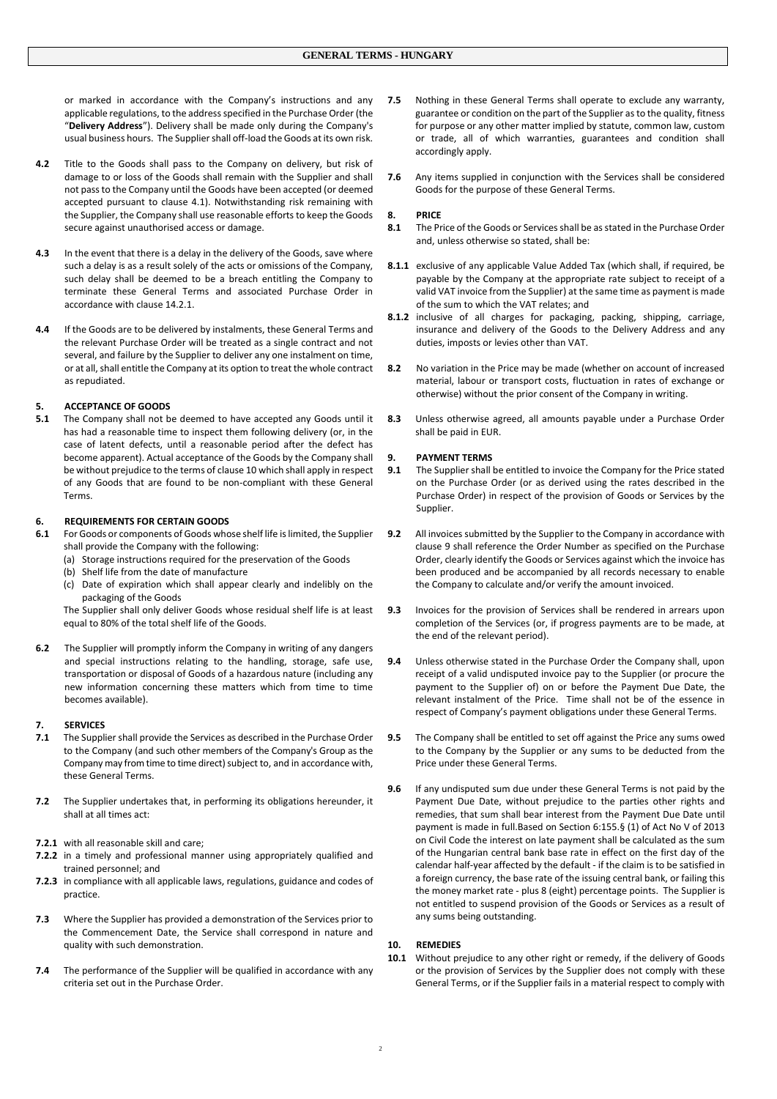or marked in accordance with the Company's instructions and any applicable regulations, to the address specified in the Purchase Order (the "**Delivery Address**"). Delivery shall be made only during the Company's usual business hours. The Supplier shall off-load the Goods at its own risk.

- **4.2** Title to the Goods shall pass to the Company on delivery, but risk of damage to or loss of the Goods shall remain with the Supplier and shall not pass to the Company until the Goods have been accepted (or deemed accepted pursuant to clause 4.1). Notwithstanding risk remaining with the Supplier, the Company shall use reasonable efforts to keep the Goods secure against unauthorised access or damage.
- **4.3** In the event that there is a delay in the delivery of the Goods, save where such a delay is as a result solely of the acts or omissions of the Company, such delay shall be deemed to be a breach entitling the Company to terminate these General Terms and associated Purchase Order in accordance with clause 14.2.1.
- **4.4** If the Goods are to be delivered by instalments, these General Terms and the relevant Purchase Order will be treated as a single contract and not several, and failure by the Supplier to deliver any one instalment on time, or at all, shall entitle the Company at its option to treat the whole contract as repudiated.

# **5. ACCEPTANCE OF GOODS**

**5.1** The Company shall not be deemed to have accepted any Goods until it has had a reasonable time to inspect them following delivery (or, in the case of latent defects, until a reasonable period after the defect has become apparent). Actual acceptance of the Goods by the Company shall be without prejudice to the terms of clause 10 which shall apply in respect of any Goods that are found to be non-compliant with these General Terms.

# **6. REQUIREMENTS FOR CERTAIN GOODS**

- **6.1** For Goods or components of Goods whose shelf life is limited, the Supplier shall provide the Company with the following:
	- (a) Storage instructions required for the preservation of the Goods
	- (b) Shelf life from the date of manufacture
	- (c) Date of expiration which shall appear clearly and indelibly on the packaging of the Goods

The Supplier shall only deliver Goods whose residual shelf life is at least equal to 80% of the total shelf life of the Goods.

**6.2** The Supplier will promptly inform the Company in writing of any dangers and special instructions relating to the handling, storage, safe use, transportation or disposal of Goods of a hazardous nature (including any new information concerning these matters which from time to time becomes available).

# **7. SERVICES**

- **7.1** The Supplier shall provide the Services as described in the Purchase Order to the Company (and such other members of the Company's Group as the Company may from time to time direct) subject to, and in accordance with, these General Terms.
- **7.2** The Supplier undertakes that, in performing its obligations hereunder, it shall at all times act:
- **7.2.1** with all reasonable skill and care;
- **7.2.2** in a timely and professional manner using appropriately qualified and trained personnel; and
- **7.2.3** in compliance with all applicable laws, regulations, guidance and codes of practice.
- **7.3** Where the Supplier has provided a demonstration of the Services prior to the Commencement Date, the Service shall correspond in nature and quality with such demonstration.
- **7.4** The performance of the Supplier will be qualified in accordance with any criteria set out in the Purchase Order.
- **7.5** Nothing in these General Terms shall operate to exclude any warranty, guarantee or condition on the part of the Supplier as to the quality, fitness for purpose or any other matter implied by statute, common law, custom or trade, all of which warranties, guarantees and condition shall accordingly apply.
- **7.6** Any items supplied in conjunction with the Services shall be considered Goods for the purpose of these General Terms.

# **8. PRICE**

- **8.1** The Price of the Goods or Services shall be as stated in the Purchase Order and, unless otherwise so stated, shall be:
- **8.1.1** exclusive of any applicable Value Added Tax (which shall, if required, be payable by the Company at the appropriate rate subject to receipt of a valid VAT invoice from the Supplier) at the same time as payment is made of the sum to which the VAT relates; and
- **8.1.2** inclusive of all charges for packaging, packing, shipping, carriage, insurance and delivery of the Goods to the Delivery Address and any duties, imposts or levies other than VAT.
- **8.2** No variation in the Price may be made (whether on account of increased material, labour or transport costs, fluctuation in rates of exchange or otherwise) without the prior consent of the Company in writing.
- **8.3** Unless otherwise agreed, all amounts payable under a Purchase Order shall be paid in EUR.

#### **9. PAYMENT TERMS**

- **9.1** The Supplier shall be entitled to invoice the Company for the Price stated on the Purchase Order (or as derived using the rates described in the Purchase Order) in respect of the provision of Goods or Services by the Supplier.
- **9.2** All invoices submitted by the Supplier to the Company in accordance with clause 9 shall reference the Order Number as specified on the Purchase Order, clearly identify the Goods or Services against which the invoice has been produced and be accompanied by all records necessary to enable the Company to calculate and/or verify the amount invoiced.
- **9.3** Invoices for the provision of Services shall be rendered in arrears upon completion of the Services (or, if progress payments are to be made, at the end of the relevant period).
- **9.4** Unless otherwise stated in the Purchase Order the Company shall, upon receipt of a valid undisputed invoice pay to the Supplier (or procure the payment to the Supplier of) on or before the Payment Due Date, the relevant instalment of the Price. Time shall not be of the essence in respect of Company's payment obligations under these General Terms.
- **9.5** The Company shall be entitled to set off against the Price any sums owed to the Company by the Supplier or any sums to be deducted from the Price under these General Terms.
- **9.6** If any undisputed sum due under these General Terms is not paid by the Payment Due Date, without prejudice to the parties other rights and remedies, that sum shall bear interest from the Payment Due Date until payment is made in full.Based on Section 6:155.§ (1) of Act No V of 2013 on Civil Code the interest on late payment shall be calculated as the sum of the Hungarian central bank base rate in effect on the first day of the calendar half-year affected by the default - if the claim is to be satisfied in a foreign currency, the base rate of the issuing central bank, or failing this the money market rate - plus 8 (eight) percentage points. The Supplier is not entitled to suspend provision of the Goods or Services as a result of any sums being outstanding.

### **10. REMEDIES**

**10.1** Without prejudice to any other right or remedy, if the delivery of Goods or the provision of Services by the Supplier does not comply with these General Terms, or if the Supplier fails in a material respect to comply with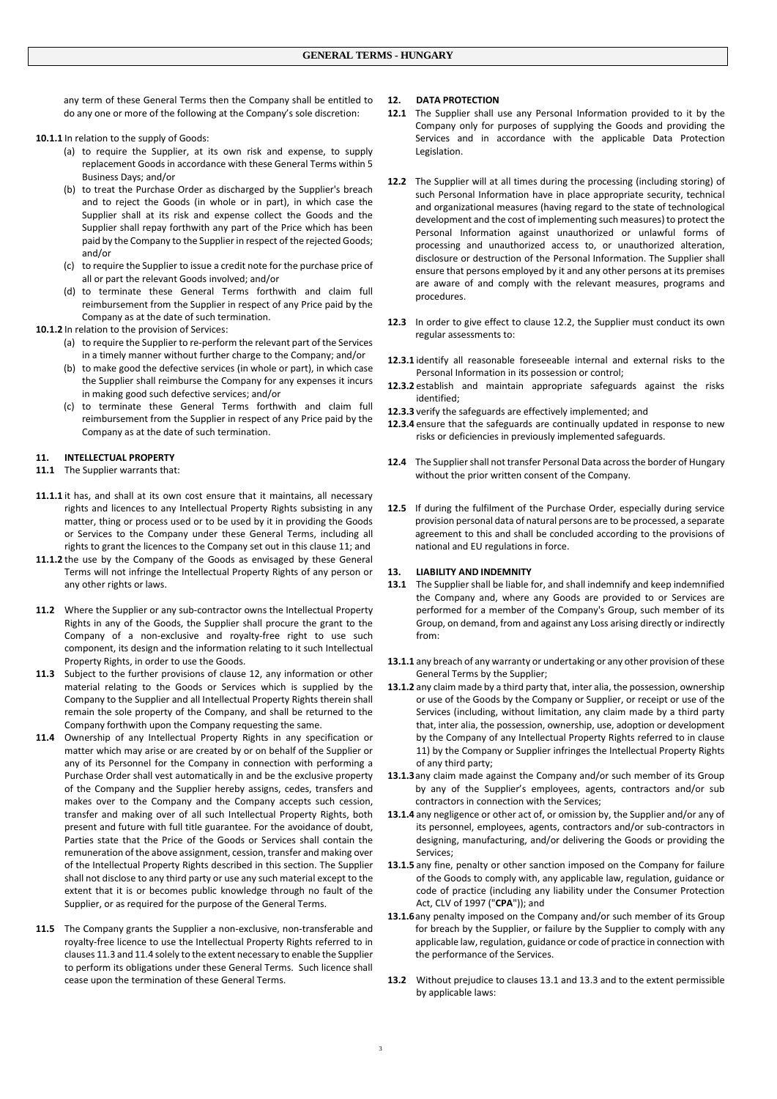any term of these General Terms then the Company shall be entitled to do any one or more of the following at the Company's sole discretion:

**10.1.1** In relation to the supply of Goods:

- (a) to require the Supplier, at its own risk and expense, to supply replacement Goods in accordance with these General Terms within 5 Business Days; and/or
- (b) to treat the Purchase Order as discharged by the Supplier's breach and to reject the Goods (in whole or in part), in which case the Supplier shall at its risk and expense collect the Goods and the Supplier shall repay forthwith any part of the Price which has been paid by the Company to the Supplier in respect of the rejected Goods; and/or
- (c) to require the Supplier to issue a credit note for the purchase price of all or part the relevant Goods involved; and/or
- (d) to terminate these General Terms forthwith and claim full reimbursement from the Supplier in respect of any Price paid by the Company as at the date of such termination.

**10.1.2** In relation to the provision of Services:

- (a) to require the Supplier to re-perform the relevant part of the Services in a timely manner without further charge to the Company; and/or
- (b) to make good the defective services (in whole or part), in which case the Supplier shall reimburse the Company for any expenses it incurs in making good such defective services; and/or
- (c) to terminate these General Terms forthwith and claim full reimbursement from the Supplier in respect of any Price paid by the Company as at the date of such termination.

#### **11. INTELLECTUAL PROPERTY**

- **11.1** The Supplier warrants that:
- **11.1.1** it has, and shall at its own cost ensure that it maintains, all necessary rights and licences to any Intellectual Property Rights subsisting in any matter, thing or process used or to be used by it in providing the Goods or Services to the Company under these General Terms, including all rights to grant the licences to the Company set out in this clause 11; and
- **11.1.2** the use by the Company of the Goods as envisaged by these General Terms will not infringe the Intellectual Property Rights of any person or any other rights or laws.
- **11.2** Where the Supplier or any sub-contractor owns the Intellectual Property Rights in any of the Goods, the Supplier shall procure the grant to the Company of a non-exclusive and royalty-free right to use such component, its design and the information relating to it such Intellectual Property Rights, in order to use the Goods.
- **11.3** Subject to the further provisions of clause 12, any information or other material relating to the Goods or Services which is supplied by the Company to the Supplier and all Intellectual Property Rights therein shall remain the sole property of the Company, and shall be returned to the Company forthwith upon the Company requesting the same.
- **11.4** Ownership of any Intellectual Property Rights in any specification or matter which may arise or are created by or on behalf of the Supplier or any of its Personnel for the Company in connection with performing a Purchase Order shall vest automatically in and be the exclusive property of the Company and the Supplier hereby assigns, cedes, transfers and makes over to the Company and the Company accepts such cession, transfer and making over of all such Intellectual Property Rights, both present and future with full title guarantee. For the avoidance of doubt, Parties state that the Price of the Goods or Services shall contain the remuneration of the above assignment, cession, transfer and making over of the Intellectual Property Rights described in this section. The Supplier shall not disclose to any third party or use any such material except to the extent that it is or becomes public knowledge through no fault of the Supplier, or as required for the purpose of the General Terms.
- **11.5** The Company grants the Supplier a non-exclusive, non-transferable and royalty-free licence to use the Intellectual Property Rights referred to in clauses 11.3 and 11.4 solely to the extent necessary to enable the Supplier to perform its obligations under these General Terms. Such licence shall cease upon the termination of these General Terms.

# **12. DATA PROTECTION**

- **12.1** The Supplier shall use any Personal Information provided to it by the Company only for purposes of supplying the Goods and providing the Services and in accordance with the applicable Data Protection Legislation.
- **12.2** The Supplier will at all times during the processing (including storing) of such Personal Information have in place appropriate security, technical and organizational measures (having regard to the state of technological development and the cost of implementing such measures) to protect the Personal Information against unauthorized or unlawful forms of processing and unauthorized access to, or unauthorized alteration, disclosure or destruction of the Personal Information. The Supplier shall ensure that persons employed by it and any other persons at its premises are aware of and comply with the relevant measures, programs and procedures.
- **12.3** In order to give effect to clause 12.2, the Supplier must conduct its own regular assessments to:
- **12.3.1** identify all reasonable foreseeable internal and external risks to the Personal Information in its possession or control;
- **12.3.2** establish and maintain appropriate safeguards against the risks identified;
- **12.3.3** verify the safeguards are effectively implemented; and
- **12.3.4** ensure that the safeguards are continually updated in response to new risks or deficiencies in previously implemented safeguards.
- 12.4 The Supplier shall not transfer Personal Data across the border of Hungary without the prior written consent of the Company.
- **12.5** If during the fulfilment of the Purchase Order, especially during service provision personal data of natural persons are to be processed, a separate agreement to this and shall be concluded according to the provisions of national and EU regulations in force.

## **13. LIABILITY AND INDEMNITY**

- **13.1** The Supplier shall be liable for, and shall indemnify and keep indemnified the Company and, where any Goods are provided to or Services are performed for a member of the Company's Group, such member of its Group, on demand, from and against any Loss arising directly or indirectly from:
- **13.1.1** any breach of any warranty or undertaking or any other provision of these General Terms by the Supplier;
- **13.1.2** any claim made by a third party that, inter alia, the possession, ownership or use of the Goods by the Company or Supplier, or receipt or use of the Services (including, without limitation, any claim made by a third party that, inter alia, the possession, ownership, use, adoption or development by the Company of any Intellectual Property Rights referred to in clause 11) by the Company or Supplier infringes the Intellectual Property Rights of any third party;
- **13.1.3**any claim made against the Company and/or such member of its Group by any of the Supplier's employees, agents, contractors and/or sub contractors in connection with the Services;
- **13.1.4** any negligence or other act of, or omission by, the Supplier and/or any of its personnel, employees, agents, contractors and/or sub-contractors in designing, manufacturing, and/or delivering the Goods or providing the Services;
- **13.1.5** any fine, penalty or other sanction imposed on the Company for failure of the Goods to comply with, any applicable law, regulation, guidance or code of practice (including any liability under the Consumer Protection Act, CLV of 1997 ("**CPA**")); and
- **13.1.6**any penalty imposed on the Company and/or such member of its Group for breach by the Supplier, or failure by the Supplier to comply with any applicable law, regulation, guidance or code of practice in connection with the performance of the Services.
- **13.2** Without prejudice to clauses 13.1 and 13.3 and to the extent permissible by applicable laws: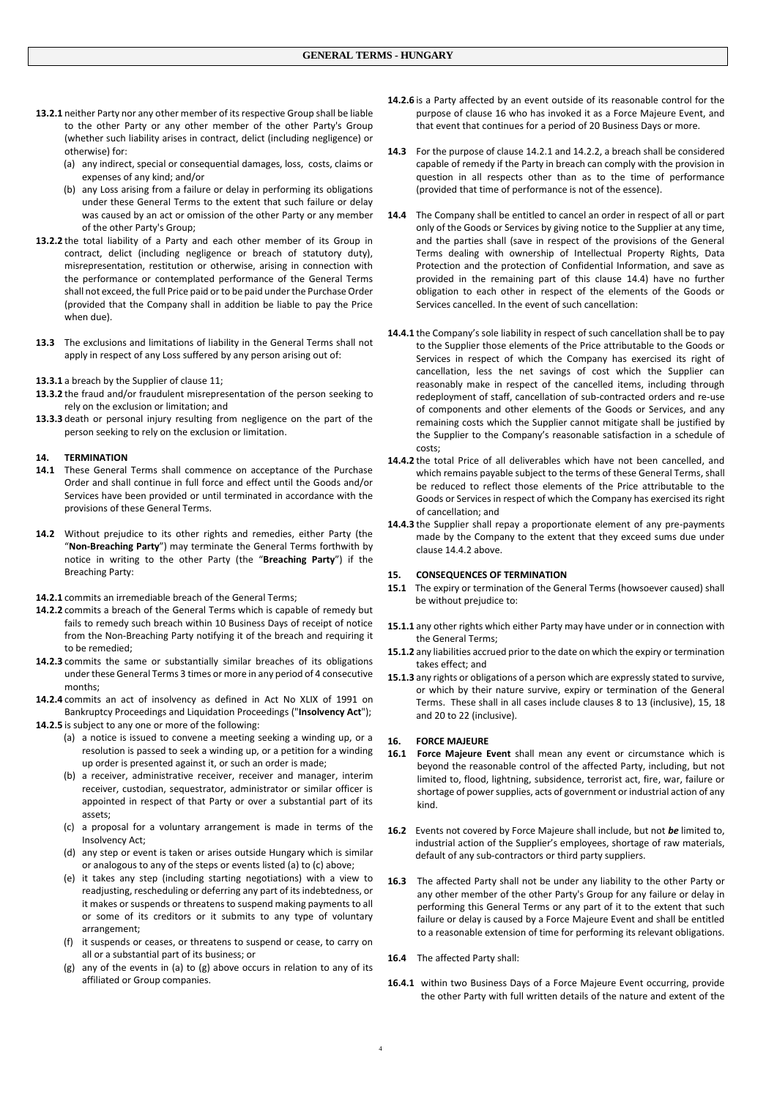- **13.2.1** neither Party nor any other member of its respective Group shall be liable to the other Party or any other member of the other Party's Group (whether such liability arises in contract, delict (including negligence) or otherwise) for:
	- (a) any indirect, special or consequential damages, loss, costs, claims or expenses of any kind; and/or
	- (b) any Loss arising from a failure or delay in performing its obligations under these General Terms to the extent that such failure or delay was caused by an act or omission of the other Party or any member of the other Party's Group;
- **13.2.2** the total liability of a Party and each other member of its Group in contract, delict (including negligence or breach of statutory duty), misrepresentation, restitution or otherwise, arising in connection with the performance or contemplated performance of the General Terms shall not exceed, the full Price paid or to be paid under the Purchase Order (provided that the Company shall in addition be liable to pay the Price when due).
- **13.3** The exclusions and limitations of liability in the General Terms shall not apply in respect of any Loss suffered by any person arising out of:
- **13.3.1** a breach by the Supplier of clause 11;
- **13.3.2** the fraud and/or fraudulent misrepresentation of the person seeking to rely on the exclusion or limitation; and
- **13.3.3** death or personal injury resulting from negligence on the part of the person seeking to rely on the exclusion or limitation.

## **14. TERMINATION**

- **14.1** These General Terms shall commence on acceptance of the Purchase Order and shall continue in full force and effect until the Goods and/or Services have been provided or until terminated in accordance with the provisions of these General Terms.
- **14.2** Without prejudice to its other rights and remedies, either Party (the "**Non-Breaching Party**") may terminate the General Terms forthwith by notice in writing to the other Party (the "**Breaching Party**") if the Breaching Party:
- **14.2.1** commits an irremediable breach of the General Terms;
- **14.2.2** commits a breach of the General Terms which is capable of remedy but fails to remedy such breach within 10 Business Days of receipt of notice from the Non-Breaching Party notifying it of the breach and requiring it to be remedied;
- **14.2.3** commits the same or substantially similar breaches of its obligations under these General Terms 3 times or more in any period of 4 consecutive months;
- **14.2.4** commits an act of insolvency as defined in Act No XLIX of 1991 on Bankruptcy Proceedings and Liquidation Proceedings ("**Insolvency Act**");
- **14.2.5** is subject to any one or more of the following:
	- (a) a notice is issued to convene a meeting seeking a winding up, or a resolution is passed to seek a winding up, or a petition for a winding up order is presented against it, or such an order is made;
	- (b) a receiver, administrative receiver, receiver and manager, interim receiver, custodian, sequestrator, administrator or similar officer is appointed in respect of that Party or over a substantial part of its assets;
	- (c) a proposal for a voluntary arrangement is made in terms of the Insolvency Act;
	- (d) any step or event is taken or arises outside Hungary which is similar or analogous to any of the steps or events listed (a) to (c) above;
	- (e) it takes any step (including starting negotiations) with a view to readjusting, rescheduling or deferring any part of its indebtedness, or it makes or suspends or threatens to suspend making payments to all or some of its creditors or it submits to any type of voluntary arrangement;
	- (f) it suspends or ceases, or threatens to suspend or cease, to carry on all or a substantial part of its business; or
	- (g) any of the events in (a) to (g) above occurs in relation to any of its affiliated or Group companies.
- **14.2.6** is a Party affected by an event outside of its reasonable control for the purpose of clause 16 who has invoked it as a Force Majeure Event, and that event that continues for a period of 20 Business Days or more.
- **14.3** For the purpose of clause 14.2.1 and 14.2.2, a breach shall be considered capable of remedy if the Party in breach can comply with the provision in question in all respects other than as to the time of performance (provided that time of performance is not of the essence).
- **14.4** The Company shall be entitled to cancel an order in respect of all or part only of the Goods or Services by giving notice to the Supplier at any time, and the parties shall (save in respect of the provisions of the General Terms dealing with ownership of Intellectual Property Rights, Data Protection and the protection of Confidential Information, and save as provided in the remaining part of this clause 14.4) have no further obligation to each other in respect of the elements of the Goods or Services cancelled. In the event of such cancellation:
- **14.4.1** the Company's sole liability in respect of such cancellation shall be to pay to the Supplier those elements of the Price attributable to the Goods or Services in respect of which the Company has exercised its right of cancellation, less the net savings of cost which the Supplier can reasonably make in respect of the cancelled items, including through redeployment of staff, cancellation of sub-contracted orders and re-use of components and other elements of the Goods or Services, and any remaining costs which the Supplier cannot mitigate shall be justified by the Supplier to the Company's reasonable satisfaction in a schedule of costs;
- **14.4.2** the total Price of all deliverables which have not been cancelled, and which remains payable subject to the terms of these General Terms, shall be reduced to reflect those elements of the Price attributable to the Goods or Services in respect of which the Company has exercised its right of cancellation; and
- **14.4.3** the Supplier shall repay a proportionate element of any pre-payments made by the Company to the extent that they exceed sums due under clause 14.4.2 above.

#### **15. CONSEQUENCES OF TERMINATION**

- **15.1** The expiry or termination of the General Terms (howsoever caused) shall be without prejudice to:
- **15.1.1** any other rights which either Party may have under or in connection with the General Terms;
- **15.1.2** any liabilities accrued prior to the date on which the expiry or termination takes effect; and
- **15.1.3** any rights or obligations of a person which are expressly stated to survive, or which by their nature survive, expiry or termination of the General Terms. These shall in all cases include clauses 8 to 13 (inclusive), 15, 18 and 20 to 22 (inclusive).

## **16. FORCE MAJEURE**

- **16.1 Force Majeure Event** shall mean any event or circumstance which is beyond the reasonable control of the affected Party, including, but not limited to, flood, lightning, subsidence, terrorist act, fire, war, failure or shortage of power supplies, acts of government or industrial action of any kind.
- **16.2** Events not covered by Force Majeure shall include, but not *be* limited to, industrial action of the Supplier's employees, shortage of raw materials, default of any sub-contractors or third party suppliers.
- **16.3** The affected Party shall not be under any liability to the other Party or any other member of the other Party's Group for any failure or delay in performing this General Terms or any part of it to the extent that such failure or delay is caused by a Force Majeure Event and shall be entitled to a reasonable extension of time for performing its relevant obligations.
- **16.4** The affected Party shall:
- **16.4.1** within two Business Days of a Force Majeure Event occurring, provide the other Party with full written details of the nature and extent of the